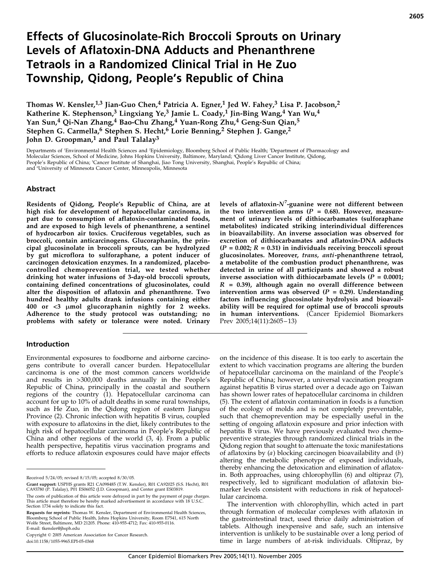# Effects of Glucosinolate-Rich Broccoli Sprouts on Urinary Levels of Aflatoxin-DNA Adducts and Phenanthrene Tetraols in a Randomized Clinical Trial in He Zuo Township, Qidong, People's Republic of China

Thomas W. Kensler,<sup>1,3</sup> Jian-Guo Chen,<sup>4</sup> Patricia A. Egner,<sup>1</sup> Jed W. Fahey,<sup>3</sup> Lisa P. Jacobson,<sup>2</sup> Katherine K. Stephenson,<sup>3</sup> Lingxiang Ye,<sup>3</sup> Jamie L. Coady,<sup>1</sup> Jin-Bing Wang,<sup>4</sup> Yan Wu,<sup>4</sup> Yan Sun,<sup>4</sup> Qi-Nan Zhang,<sup>4</sup> Bao-Chu Zhang,<sup>4</sup> Yuan-Rong Zhu,<sup>4</sup> Geng-Sun Qian,<sup>5</sup> Stephen G. Carmella,<sup>6</sup> Stephen S. Hecht,<sup>6</sup> Lorie Benning,<sup>2</sup> Stephen J. Gange,<sup>2</sup> John D. Groopman,<sup>1</sup> and Paul Talalay<sup>3</sup>

Departments of 'Environmental Health Sciences and 'Epidemiology, Bloomberg School of Public Health; 'Department of Pharmacology and<br>Molecular Sciences, School of Medicine, Johns Hopkins University, Baltimore, Maryland; 'Qi People's Republic of China; <sup>5</sup>Cancer Institute of Shanghai, Jiao Tong University, Shanghai, People's Republic of China; and 'University of Minnesota Cancer Center, Minneapolis, Minnesota

### Abstract

Residents of Qidong, People's Republic of China, are at high risk for development of hepatocellular carcinoma, in part due to consumption of aflatoxin-contaminated foods, and are exposed to high levels of phenanthrene, a sentinel of hydrocarbon air toxics. Cruciferous vegetables, such as broccoli, contain anticarcinogens. Glucoraphanin, the principal glucosinolate in broccoli sprouts, can be hydrolyzed by gut microflora to sulforaphane, a potent inducer of carcinogen detoxication enzymes. In a randomized, placebocontrolled chemoprevention trial, we tested whether drinking hot water infusions of 3-day-old broccoli sprouts, containing defined concentrations of glucosinolates, could alter the disposition of aflatoxin and phenanthrene. Two hundred healthy adults drank infusions containing either 400 or <3 µmol glucoraphanin nightly for 2 weeks. Adherence to the study protocol was outstanding; no problems with safety or tolerance were noted. Urinary

#### **Introduction**

Environmental exposures to foodborne and airborne carcinogens contribute to overall cancer burden. Hepatocellular carcinoma is one of the most common cancers worldwide and results in >300,000 deaths annually in the People's Republic of China, principally in the coastal and southern regions of the country (1). Hepatocellular carcinoma can account for up to 10% of adult deaths in some rural townships, such as He Zuo, in the Qidong region of eastern Jiangsu Province (2). Chronic infection with hepatitis B virus, coupled with exposure to aflatoxins in the diet, likely contributes to the high risk of hepatocellular carcinoma in People's Republic of China and other regions of the world (3, 4). From a public health perspective, hepatitis virus vaccination programs and efforts to reduce aflatoxin exposures could have major effects

Copyright  $©$  2005 American Association for Cancer Research. doi:10.1158/1055-9965.EPI-05-0368

levels of aflatoxin- $N^7$ -guanine were not different between the two intervention arms ( $P = 0.68$ ). However, measurement of urinary levels of dithiocarbamates (sulforaphane metabolites) indicated striking interindividual differences in bioavailability. An inverse association was observed for excretion of dithiocarbamates and aflatoxin-DNA adducts  $(P = 0.002; R = 0.31)$  in individuals receiving broccoli sprout glucosinolates. Moreover, trans, anti-phenanthrene tetraol, a metabolite of the combustion product phenanthrene, was detected in urine of all participants and showed a robust inverse association with dithiocarbamate levels  $(P = 0.0001;$  $R = 0.39$ ), although again no overall difference between intervention arms was observed ( $P = 0.29$ ). Understanding factors influencing glucosinolate hydrolysis and bioavailability will be required for optimal use of broccoli sprouts in human interventions. (Cancer Epidemiol Biomarkers Prev 2005;14(11):2605–13)

on the incidence of this disease. It is too early to ascertain the extent to which vaccination programs are altering the burden of hepatocellular carcinoma on the mainland of the People's Republic of China; however, a universal vaccination program against hepatitis B virus started over a decade ago on Taiwan has shown lower rates of hepatocellular carcinoma in children (5). The extent of aflatoxin contamination in foods is a function of the ecology of molds and is not completely preventable, such that chemoprevention may be especially useful in the setting of ongoing aflatoxin exposure and prior infection with hepatitis B virus. We have previously evaluated two chemopreventive strategies through randomized clinical trials in the Qidong region that sought to attenuate the toxic manifestations of aflatoxins by  $(a)$  blocking carcinogen bioavailability and  $(b)$ altering the metabolic phenotype of exposed individuals, thereby enhancing the detoxication and elimination of aflatoxin. Both approaches, using chlorophyllin (6) and oltipraz (7), respectively, led to significant modulation of aflatoxin biomarker levels consistent with reductions in risk of hepatocellular carcinoma.

The intervention with chlorophyllin, which acted in part through formation of molecular complexes with aflatoxin in the gastrointestinal tract, used thrice daily administration of tablets. Although inexpensive and safe, such an intensive intervention is unlikely to be sustainable over a long period of time in large numbers of at-risk individuals. Oltipraz, by

Received 5/24/05; revised 8/15/05; accepted 8/30/05.

Grant support: USPHS grants R21 CA098485 (T.W. Kensler), R01 CA92025 (S.S. Hecht), R01 CA93780 (P. Talalay), P01 ES06052 (J.D. Groopman), and Center grant ES03819.

The costs of publication of this article were defrayed in part by the payment of page charges. This article must therefore be hereby marked advertisement in accordance with 18 U.S.C. Section 1734 solely to indicate this fact.

**Requests for reprints:** Thomas W. Kensler, Department of Environmental Health Sciences,<br>Bloomberg School of Public Health, Johns Hopkins University, Room E7541, 615 North Wolfe Street, Baltimore, MD 21205. Phone: 410-955-4712; Fax: 410-955-0116. E-mail: tkensler@jhsph.edu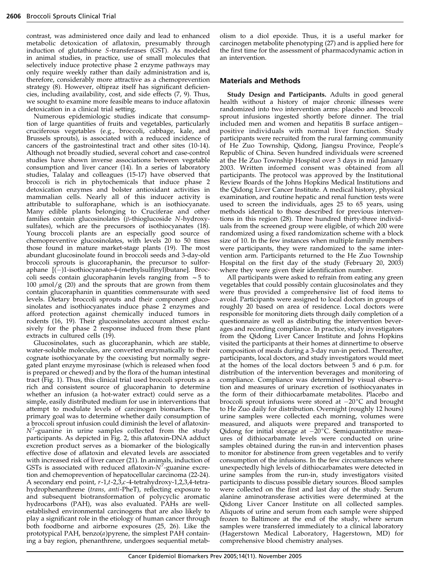contrast, was administered once daily and lead to enhanced metabolic detoxication of aflatoxin, presumably through induction of glutathione S-transferases (GST). As modeled in animal studies, in practice, use of small molecules that selectively induce protective phase 2 enzyme pathways may only require weekly rather than daily administration and is, therefore, considerably more attractive as a chemoprevention strategy (8). However, oltipraz itself has significant deficiencies, including availability, cost, and side effects (7, 9). Thus, we sought to examine more feasible means to induce aflatoxin detoxication in a clinical trial setting.

Numerous epidemiologic studies indicate that consumption of large quantities of fruits and vegetables, particularly cruciferous vegetables (e.g., broccoli, cabbage, kale, and Brussels sprouts), is associated with a reduced incidence of cancers of the gastrointestinal tract and other sites (10-14). Although not broadly studied, several cohort and case-control studies have shown inverse associations between vegetable consumption and liver cancer (14). In a series of laboratory studies, Talalay and colleagues (15-17) have observed that broccoli is rich in phytochemicals that induce phase 2 detoxication enzymes and bolster antioxidant activities in mammalian cells. Nearly all of this inducer activity is attributable to sulforaphane, which is an isothiocyanate. Many edible plants belonging to Cruciferae and other families contain glucosinolates  $(\beta$ -thioglucoside N-hydroxysulfates), which are the precursors of isothiocyanates (18). Young broccoli plants are an especially good source of chemopreventive glucosinolates, with levels 20 to 50 times those found in mature market-stage plants (19). The most abundant glucosinolate found in broccoli seeds and 3-day-old broccoli sprouts is glucoraphanin, the precursor to sulforaphane  $[(-)]$ -isothiocyanato-4-(methylsulfinyl)butane]. Broccoli seeds contain glucoraphanin levels ranging from  $\sim$  5 to 100  $\mu$ mol/g (20) and the sprouts that are grown from them contain glucoraphanin in quantities commensurate with seed levels. Dietary broccoli sprouts and their component glucosinolates and isothiocyanates induce phase 2 enzymes and afford protection against chemically induced tumors in rodents (16, 19). Their glucosinolates account almost exclusively for the phase 2 response induced from these plant extracts in cultured cells (19).

Glucosinolates, such as glucoraphanin, which are stable, water-soluble molecules, are converted enzymatically to their cognate isothiocyanate by the coexisting but normally segregated plant enzyme myrosinase (which is released when food is prepared or chewed) and by the flora of the human intestinal tract (Fig. 1). Thus, this clinical trial used broccoli sprouts as a rich and consistent source of glucoraphanin to determine whether an infusion (a hot-water extract) could serve as a simple, easily distributed medium for use in interventions that attempt to modulate levels of carcinogen biomarkers. The primary goal was to determine whether daily consumption of a broccoli sprout infusion could diminish the level of aflatoxin- $N^7$ -guanine in urine samples collected from the study participants. As depicted in Fig. 2, this aflatoxin-DNA adduct excretion product serves as a biomarker of the biologically effective dose of aflatoxin and elevated levels are associated with increased risk of liver cancer (21). In animals, induction of GSTs is associated with reduced aflatoxin- $N^7$ -guanine excretion and chemoprevention of hepatocellular carcinoma (22-24). A secondary end point, r-1,t-2,3,c-4-tetrahydroxy-1,2,3,4-tetrahydrophenanthrene (trans, anti-PheT), reflecting exposure to and subsequent biotransformation of polycyclic aromatic hydrocarbons (PAH), was also evaluated. PAHs are wellestablished environmental carcinogens that are also likely to play a significant role in the etiology of human cancer through both foodborne and airborne exposures (25, 26). Like the prototypical PAH, benzo(a)pyrene, the simplest PAH containing a bay region, phenanthrene, undergoes sequential metabolism to a diol epoxide. Thus, it is a useful marker for carcinogen metabolite phenotyping (27) and is applied here for the first time for the assessment of pharmacodynamic action in an intervention.

# Materials and Methods

Study Design and Participants. Adults in good general health without a history of major chronic illnesses were randomized into two intervention arms: placebo and broccoli sprout infusions ingested shortly before dinner. The trial included men and women and hepatitis B surface antigen– positive individuals with normal liver function. Study participants were recruited from the rural farming community of He Zuo Township, Qidong, Jiangsu Province, People's Republic of China. Seven hundred individuals were screened at the He Zuo Township Hospital over 3 days in mid January 2003. Written informed consent was obtained from all participants. The protocol was approved by the Institutional Review Boards of the Johns Hopkins Medical Institutions and the Qidong Liver Cancer Institute. A medical history, physical examination, and routine hepatic and renal function tests were used to screen the individuals, ages 25 to 65 years, using methods identical to those described for previous interventions in this region (28). Three hundred thirty-three individuals from the screened group were eligible, of which 200 were randomized using a fixed randomization scheme with a block size of 10. In the few instances when multiple family members were participants, they were randomized to the same intervention arm. Participants returned to the He Zuo Township Hospital on the first day of the study (February 20, 2003) where they were given their identification number.

All participants were asked to refrain from eating any green vegetables that could possibly contain glucosinolates and they were thus provided a comprehensive list of food items to avoid. Participants were assigned to local doctors in groups of roughly 20 based on area of residence. Local doctors were responsible for monitoring diets through daily completion of a questionnaire as well as distributing the intervention beverages and recording compliance. In practice, study investigators from the Qidong Liver Cancer Institute and Johns Hopkins visited the participants at their homes at dinnertime to observe composition of meals during a 3-day run-in period. Thereafter, participants, local doctors, and study investigators would meet at the homes of the local doctors between 5 and 6 p.m. for distribution of the intervention beverages and monitoring of compliance. Compliance was determined by visual observation and measures of urinary excretion of isothiocyanates in the form of their dithiocarbamate metabolites. Placebo and broccoli sprout infusions were stored at  $-20^{\circ}C$  and brought to He Zuo daily for distribution. Overnight (roughly 12 hours) urine samples were collected each morning, volumes were measured, and aliquots were prepared and transported to Qidong for initial storage at  $-20^{\circ}$ C. Semiquantitative measures of dithiocarbamate levels were conducted on urine samples obtained during the run-in and intervention phases to monitor for abstinence from green vegetables and to verify consumption of the infusions. In the few circumstances where unexpectedly high levels of dithiocarbamates were detected in urine samples from the run-in, study investigators visited participants to discuss possible dietary sources. Blood samples were collected on the first and last day of the study. Serum alanine aminotransferase activities were determined at the Qidong Liver Cancer Institute on all collected samples. Aliquots of urine and serum from each sample were shipped frozen to Baltimore at the end of the study, where serum samples were transferred immediately to a clinical laboratory (Hagerstown Medical Laboratory, Hagerstown, MD) for comprehensive blood chemistry analyses.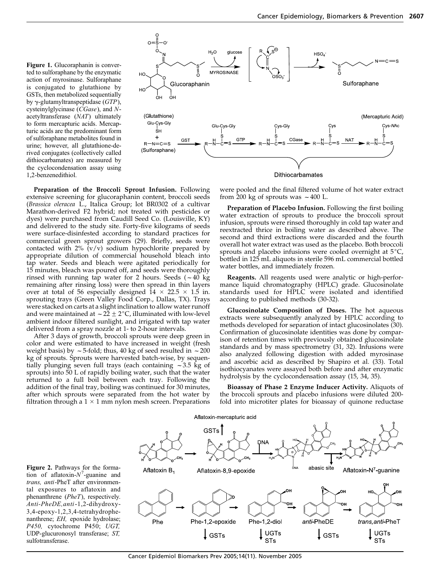Figure 1. Glucoraphanin is converted to sulforaphane by the enzymatic action of myrosinase. Sulforaphane is conjugated to glutathione by GSTs, then metabolized sequentially by  $\gamma$ -glutamyltranspeptidase (GTP), cysteinylglycinase (CGase), and Nacetyltransferase (NAT) ultimately to form mercapturic acids. Mercapturic acids are the predominant form of sulforaphane metabolites found in urine; however, all glutathione-derived conjugates (collectively called dithiocarbamates) are measured by the cyclocondensation assay using 1,2-benzenedithiol.



Preparation of the Broccoli Sprout Infusion. Following extensive screening for glucoraphanin content, broccoli seeds (Brassica oleracea L., Italica Group; lot BR0302 of a cultivar Marathon-derived F2 hybrid; not treated with pesticides or dyes) were purchased from Caudill Seed Co. (Louisville, KY) and delivered to the study site. Forty-five kilograms of seeds were surface-disinfested according to standard practices for commercial green sprout growers (29). Briefly, seeds were contacted with  $2\%$  (v/v) sodium hypochlorite prepared by appropriate dilution of commercial household bleach into tap water. Seeds and bleach were agitated periodically for 15 minutes, bleach was poured off, and seeds were thoroughly rinsed with running tap water for 2 hours. Seeds  $(-40 \text{ kg})$ remaining after rinsing loss) were then spread in thin layers over at total of 56 especially designed  $14 \times 22.5 \times 1.5$  in. sprouting trays (Green Valley Food Corp., Dallas, TX). Trays were stacked on carts at a slight inclination to allow water runoff and were maintained at  $\sim$  22  $\pm$  2°C, illuminated with low-level ambient indoor filtered sunlight, and irrigated with tap water delivered from a spray nozzle at 1- to 2-hour intervals.

After 3 days of growth, broccoli sprouts were deep green in color and were estimated to have increased in weight (fresh weight basis) by  $\sim$  5-fold; thus, 40 kg of seed resulted in  $\sim$  200 kg of sprouts. Sprouts were harvested batch-wise, by sequentially plunging seven full trays (each containing  $\sim$ 3.5 kg of sprouts) into 50 L of rapidly boiling water, such that the water returned to a full boil between each tray. Following the addition of the final tray, boiling was continued for 30 minutes, after which sprouts were separated from the hot water by filtration through a  $1 \times 1$  mm nylon mesh screen. Preparations

were pooled and the final filtered volume of hot water extract from 200 kg of sprouts was  $\sim$  400 L.

Preparation of Placebo Infusion. Following the first boiling water extraction of sprouts to produce the broccoli sprout infusion, sprouts were rinsed thoroughly in cold tap water and reextracted thrice in boiling water as described above. The second and third extractions were discarded and the fourth overall hot water extract was used as the placebo. Both broccoli sprouts and placebo infusions were cooled overnight at  $5^{\circ}C$ , bottled in 125 mL aliquots in sterile 596 mL commercial bottled water bottles, and immediately frozen.

Reagents. All reagents used were analytic or high-performance liquid chromatography (HPLC) grade. Glucosinolate standards used for HPLC were isolated and identified according to published methods (30-32).

Glucosinolate Composition of Doses. The hot aqueous extracts were subsequently analyzed by HPLC according to methods developed for separation of intact glucosinolates (30). Confirmation of glucosinolate identities was done by comparison of retention times with previously obtained glucosinolate standards and by mass spectrometry (31, 32). Infusions were also analyzed following digestion with added myrosinase and ascorbic acid as described by Shapiro et al. (33). Total isothiocyanates were assayed both before and after enzymatic hydrolysis by the cyclocondensation assay (15, 34, 35).

Bioassay of Phase 2 Enzyme Inducer Activity. Aliquots of the broccoli sprouts and placebo infusions were diluted 200 fold into microtiter plates for bioassay of quinone reductase

Figure 2. Pathways for the formation of aflatoxin- $N^7$ -guanine and trans, anti-PheT after environmental exposures to aflatoxin and phenanthrene (PheT), respectively. Anti-PheDE,anti-1,2-dihydroxy-3,4-epoxy-1,2,3,4-tetrahydrophenanthrene; EH, epoxide hydrolase; P450, cytochrome P450; UGT, UDP-glucuronosyl transferase; ST, sulfotransferase.

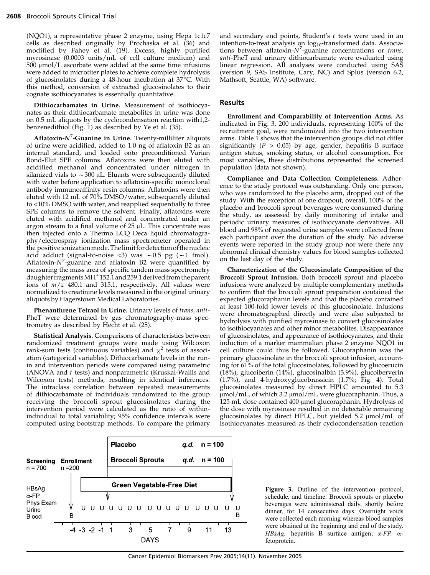(NQO1), a representative phase 2 enzyme, using Hepa 1c1c7 cells as described originally by Prochaska et al. (36) and modified by Fahey et al. (19). Excess, highly purified myrosinase (0.0003 units/mL of cell culture medium) and  $500 \mu$ mol/L ascorbate were added at the same time infusions were added to microtiter plates to achieve complete hydrolysis of glucosinolates during a 48-hour incubation at  $37^{\circ}$ C. With this method, conversion of extracted glucosinolates to their cognate isothiocyanates is essentially quantitative.

Dithiocarbamates in Urine. Measurement of isothiocyanates as their dithiocarbamate metabolites in urine was done on 0.5 mL aliquots by the cyclocondensation reaction with1,2 benzenedithiol (Fig. 1) as described by Ye et al. (35).

Aflatoxin- $N^7$ -Guanine in Urine. Twenty-milliliter aliquots of urine were acidified, added to 1.0 ng of aflatoxin B2 as an internal standard, and loaded onto preconditioned Varian Bond-Elut SPE columns. Aflatoxins were then eluted with acidified methanol and concentrated under nitrogen in silanized vials to  $\sim$  300 µL. Eluants were subsequently diluted with water before application to aflatoxin-specific monoclonal antibody immunoaffinity resin columns. Aflatoxins were then eluted with 12 mL of 70% DMSO/water, subsequently diluted to <10% DMSO with water, and reapplied sequentially to three SPE columns to remove the solvent. Finally, aflatoxins were eluted with acidified methanol and concentrated under an argon stream to a final volume of  $25 \mu L$ . This concentrate was then injected onto a Thermo LCQ Deca liquid chromatography/electrospray ionization mass spectrometer operated in the positiveionizationmode.Thelimitfordetectionofthenucleic acid adduct (signal-to-noise <3) was  $\sim 0.5$  pg ( $\sim 1$  fmol). Aflatoxin- $N^7$ -guanine and aflatoxin B2 were quantified by measuring the mass area of specific tandem mass spectrometry daughter fragments  $MH<sup>+</sup> 152.1$  and 259.1 derived from the parent ions of  $m/z$  480.1 and 315.1, respectively. All values were normalized to creatinine levels measured in the original urinary aliquots by Hagerstown Medical Laboratories.

Phenanthrene Tetraol in Urine. Urinary levels of trans, anti-PheT were determined by gas chromatography-mass spectrometry as described by Hecht et al. (25).

Statistical Analysis. Comparisons of characteristics between randomized treatment groups were made using Wilcoxon rank-sum tests (continuous variables) and  $\chi^2$  tests of association (categorical variables). Dithiocarbamate levels in the runin and intervention periods were compared using parametric (ANOVA and t tests) and nonparametric (Kruskal-Wallis and Wilcoxon tests) methods, resulting in identical inferences. The intraclass correlation between repeated measurements of dithiocarbamate of individuals randomized to the group receiving the broccoli sprout glucosinolates during the intervention period were calculated as the ratio of withinindividual to total variability; 95% confidence intervals were computed using bootstrap methods. To compare the primary

and secondary end points, Student's t tests were used in an intention-to-treat analysis on  $log_{10}$ -transformed data. Associations between aflatoxin- $N^7$ -guanine concentrations or trans, anti-PheT and urinary dithiocarbamate were evaluated using linear regression. All analyses were conducted using SAS (version 9, SAS Institute, Cary, NC) and Splus (version 6.2, Mathsoft, Seattle, WA) software.

## Results

Enrollment and Comparability of Intervention Arms. As indicated in Fig. 3, 200 individuals, representing 100% of the recruitment goal, were randomized into the two intervention arms. Table 1 shows that the intervention groups did not differ significantly ( $P > 0.05$ ) by age, gender, hepatitis B surface antigen status, smoking status, or alcohol consumption. For most variables, these distributions represented the screened population (data not shown).

Compliance and Data Collection Completeness. Adherence to the study protocol was outstanding. Only one person, who was randomized to the placebo arm, dropped out of the study. With the exception of one dropout, overall, 100% of the placebo and broccoli sprout beverages were consumed during the study, as assessed by daily monitoring of intake and periodic urinary measures of isothiocyanate derivatives. All blood and 98% of requested urine samples were collected from each participant over the duration of the study. No adverse events were reported in the study group nor were there any abnormal clinical chemistry values for blood samples collected on the last day of the study.

Characterization of the Glucosinolate Composition of the Broccoli Sprout Infusion. Both broccoli sprout and placebo infusions were analyzed by multiple complementary methods to confirm that the broccoli sprout preparation contained the expected glucoraphanin levels and that the placebo contained at least 100-fold lower levels of this glucosinolate. Infusions were chromatographed directly and were also subjected to hydrolysis with purified myrosinase to convert glucosinolates to isothiocyanates and other minor metabolites. Disappearance of glucosinolates, and appearance of isothiocyanates, and their induction of a marker mammalian phase 2 enzyme NQO1 in cell culture could thus be followed. Glucoraphanin was the primary glucosinolate in the broccoli sprout infusion, accounting for 61% of the total glucosinolates, followed by glucoerucin (18%), glucoiberin (14%), glucosinalbin (3.9%), glucoiberverin (1.7%), and 4-hydroxyglucobrassicin (1.7%; Fig. 4). Total glucosinolates measured by direct HPLC amounted to 5.3  $\mu$ mol/mL, of which 3.2  $\mu$ mol/mL were glucoraphanin. Thus, a 125 mL dose contained 400 µmol glucoraphanin. Hydrolysis of the dose with myrosinase resulted in no detectable remaining glucosinolates by direct HPLC, but yielded 5.2  $\mu$ mol/mL of isothiocyanates measured as their cyclocondensation reaction



Figure 3. Outline of the intervention protocol, schedule, and timeline. Broccoli sprouts or placebo beverages were administered daily, shortly before dinner, for 14 consecutive days. Overnight voids were collected each morning whereas blood samples were obtained at the beginning and end of the study. HBsAg, hepatitis B surface antigen; *a*-FP, afetoprotein.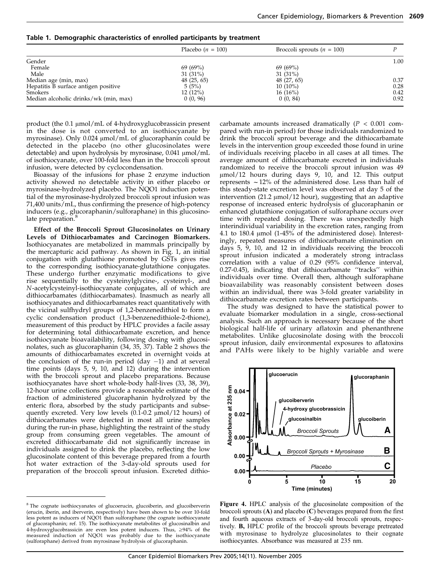|                                       | Placebo $(n = 100)$ | Broccoli sprouts $(n = 100)$ |      |  |
|---------------------------------------|---------------------|------------------------------|------|--|
| Gender                                |                     |                              |      |  |
| Female                                | 69(69%)             | 69(69%)                      |      |  |
| Male                                  | $31(31\%)$          | $31(31\%)$                   |      |  |
| Median age (min, max)                 | 48(25, 65)          | 48 (27, 65)                  | 0.37 |  |
| Hepatitis B surface antigen positive  | 5(5%)               | $10(10\%)$                   | 0.28 |  |
| Smokers                               | 12(12%)             | $16(16\%)$                   | 0.42 |  |
| Median alcoholic drinks/wk (min, max) | 0(0, 96)            | 0(0, 84)                     | 0.92 |  |

Table 1. Demographic characteristics of enrolled participants by treatment

product (the  $0.1 \mu$ mol/mL of 4-hydroxyglucobrassicin present in the dose is not converted to an isothiocyanate by myrosinase). Only 0.024  $\mu$ mol/mL of glucoraphanin could be detected in the placebo (no other glucosinolates were detectable) and upon hydrolysis by myrosinase,  $0.041 \mu$ mol/mL of isothiocyanate, over 100-fold less than in the broccoli sprout infusion, were detected by cyclocondensation.

Bioassay of the infusions for phase 2 enzyme induction activity showed no detectable activity in either placebo or myrosinase-hydrolyzed placebo. The NQO1 induction potential of the myrosinase-hydrolyzed broccoli sprout infusion was 71,400 units/mL, thus confirming the presence of high-potency inducers (e.g., glucoraphanin/sulforaphane) in this glucosinolate preparation.<sup>8</sup>

Effect of the Broccoli Sprout Glucosinolates on Urinary Levels of Dithiocarbamates and Carcinogen Biomarkers. Isothiocyanates are metabolized in mammals principally by the mercapturic acid pathway. As shown in Fig. 1, an initial conjugation with glutathione promoted by GSTs gives rise to the corresponding isothiocyanate-glutathione conjugates. These undergo further enzymatic modifications to give rise sequentially to the cysteinylglycine-, cysteinyl-, and N-acetylcysteinyl-isothiocyanate conjugates, all of which are dithiocarbamates (dithiocarbamates). Inasmuch as nearly all isothiocyanates and dithiocarbamates react quantitatively with the vicinal sulfhydryl groups of 1,2-benzenedithiol to form a cyclic condensation product (1,3-benzenedithiole-2-thione), measurement of this product by HPLC provides a facile assay for determining total dithiocarbamate excretion, and hence isothiocyanate bioavailability, following dosing with glucosinolates, such as glucoraphanin (34, 35, 37). Table 2 shows the amounts of dithiocarbamates excreted in overnight voids at the conclusion of the run-in period (day  $-1$ ) and at several time points (days 5, 9, 10, and 12) during the intervention with the broccoli sprout and placebo preparations. Because isothiocyanates have short whole-body half-lives (33, 38, 39), 12-hour urine collections provide a reasonable estimate of the fraction of administered glucoraphanin hydrolyzed by the enteric flora, absorbed by the study participants and subsequently excreted. Very low levels  $(0.1-0.2 \mu \text{mol}/12 \text{ hours})$  of dithiocarbamates were detected in most all urine samples during the run-in phase, highlighting the restraint of the study group from consuming green vegetables. The amount of excreted dithiocarbamate did not significantly increase in individuals assigned to drink the placebo, reflecting the low glucosinolate content of this beverage prepared from a fourth hot water extraction of the 3-day-old sprouts used for preparation of the broccoli sprout infusion. Excreted dithiocarbamate amounts increased dramatically ( $P < 0.001$  compared with run-in period) for those individuals randomized to drink the broccoli sprout beverage and the dithiocarbamate levels in the intervention group exceeded those found in urine of individuals receiving placebo in all cases at all times. The average amount of dithiocarbamate excreted in individuals randomized to receive the broccoli sprout infusion was 49  $\mu$ mol/12 hours during days 9, 10, and 12. This output represents  $\sim$  12% of the administered dose. Less than half of this steady-state excretion level was observed at day 5 of the intervention  $(21.2 \mu \text{mol}/12 \text{ hour})$ , suggesting that an adaptive response of increased enteric hydrolysis of glucoraphanin or enhanced glutathione conjugation of sulforaphane occurs over time with repeated dosing. There was unexpectedly high interindividual variability in the excretion rates, ranging from 4.1 to 180.4  $\mu$ mol (1-45% of the administered dose). Interestingly, repeated measures of dithiocarbamate elimination on days 5, 9, 10, and 12 in individuals receiving the broccoli sprout infusion indicated a moderately strong intraclass correlation with a value of 0.29 (95% confidence interval, 0.27-0.45), indicating that dithiocarbamate ''tracks'' within individuals over time. Overall then, although sulforaphane bioavailability was reasonably consistent between doses within an individual, there was 3-fold greater variability in dithiocarbamate excretion rates between participants.

The study was designed to have the statistical power to evaluate biomarker modulation in a single, cross-sectional analysis. Such an approach is necessary because of the short biological half-life of urinary aflatoxin and phenanthrene metabolites. Unlike glucosinolate dosing with the broccoli sprout infusion, daily environmental exposures to aflatoxins and PAHs were likely to be highly variable and were



Figure 4. HPLC analysis of the glucosinolate composition of the broccoli sprouts  $(A)$  and placebo  $(C)$  beverages prepared from the first and fourth aqueous extracts of 3-day-old broccoli sprouts, respectively. B, HPLC profile of the broccoli sprouts beverage pretreated with myrosinase to hydrolyze glucosinolates to their cognate isothiocyantes. Absorbance was measured at 235 nm.

<sup>&</sup>lt;sup>8</sup> The cognate isothiocyanates of glucoerucin, glucoiberin, and glucoiberverin (erucin, iberin, and iberverin, respectively) have been shown to be over 10-fold less potent as inducers of NQO1 than sulforaphane (the cognate isothiocyanate of glucoraphanin; ref. 15). The isothiocyanate metabolites of glucosinalbin and 4-hydroxyglucobrassicin are even less potent inducers. Thus, ≥94% of the<br>measured induction of NQO1 was probably due to the isothiocyanate (sulforaphane) derived from myrosinase hydrolysis of glucoraphanin.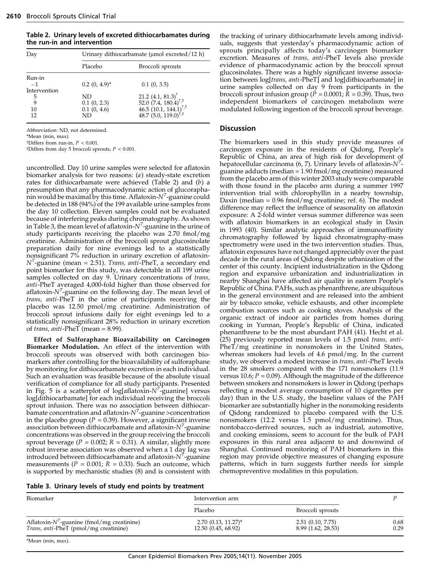Table 2. Urinary levels of excreted dithiocarbamates during the run-in and intervention

| Day                                                  | Urinary dithiocarbamate (umol excreted/12 h)               |                                                                                                                                                           |  |
|------------------------------------------------------|------------------------------------------------------------|-----------------------------------------------------------------------------------------------------------------------------------------------------------|--|
|                                                      | Placebo                                                    | Broccoli sprouts                                                                                                                                          |  |
| Run-in<br>$-1$<br>Intervention<br>5<br>9<br>10<br>12 | $0.2(0, 4.9)^*$<br>ND.<br>0.1(0, 2.3)<br>0.1(0, 4.6)<br>ND | 0.1(0, 3.5)<br>21.2 (4.1, 81.3) <sup>†</sup><br>52.0 (7.4, 180.4) <sup>†,‡</sup><br>46.5 (10.1, 144.1) <sup>†,‡</sup><br>48.7 (5.0, 119.0) <sup>†,‡</sup> |  |

Abbreviation: ND, not determined.

\*Mean (min, max).

 $^\dagger\rm{Differs}$  from run-in,  $P < 0.001.$ 

 $\text{*Differs from day 5 broccoli sprouts, } P < 0.001.$ 

uncontrolled. Day 10 urine samples were selected for aflatoxin biomarker analysis for two reasons: (a) steady-state excretion rates for dithiocarbamate were achieved (Table 2) and (b) a presumption that any pharmacodynamic action of glucorapha- $\dot{\text{h}}$ in would be maximal by this time. Aflatoxin-N $^7$ -guanine could be detected in 188 (94%) of the 199 available urine samples from the day 10 collection. Eleven samples could not be evaluated because of interfering peaks during chromatography. As shown in Table 3, the mean level of aflatoxin- $N^7$ -guanine in the urine of study participants receiving the placebo was 2.70 fmol/mg creatinine. Administration of the broccoli sprout glucosinolate preparation daily for nine evenings led to a statistically nonsignificant 7% reduction in urinary excretion of aflatoxin- $N^7$ -guanine (mean = 2.51). Trans, anti-PheT, a secondary end point biomarker for this study, was detectable in all 199 urine samples collected on day 9. Urinary concentrations of *trans*, anti-PheT averaged 4,000-fold higher than those observed for aflatoxin- $N^7$ -guanine on the following day. The mean level of trans, anti-PheT in the urine of participants receiving the placebo was 12.50 pmol/mg creatinine. Administration of broccoli sprout infusions daily for eight evenings led to a statistically nonsignificant 28% reduction in urinary excretion of trans, anti-PheT (mean = 8.99).

Effect of Sulforaphane Bioavailability on Carcinogen Biomarker Modulation. An effect of the intervention with broccoli sprouts was observed with both carcinogen biomarkers after controlling for the bioavailability of sulforaphane by monitoring for dithiocarbamate excretion in each individual. Such an evaluation was feasible because of the absolute visual verification of compliance for all study participants. Presented in Fig. 5 is a scatterplot of log[aflatoxin- $N^7$ -guanine] versus log[dithiocarbamate] for each individual receiving the broccoli sprout infusion. There was no association between dithiocar- $\rm{b}$ amate concentration and aflatoxin- $\rm{N}^7$ -guanine >concentration in the placebo group ( $P = 0.39$ ). However, a significant inverse association between dithiocarbamate and aflatoxin- $N^7$ -guanine concentrations was observed in the group receiving the broccoli sprout beverage ( $P = 0.002$ ;  $R = 0.31$ ). A similar, slightly more robust inverse association was observed when a 1 day lag was introduced between dithiocarbamate and aflatoxin- $N^7$ -guanine measurements ( $P = 0.001$ ;  $R = 0.33$ ). Such an outcome, which is supported by mechanistic studies (8) and is consistent with the tracking of urinary dithiocarbamate levels among individuals, suggests that yesterday's pharmacodynamic action of sprouts principally affects today's carcinogen biomarker excretion. Measures of trans, anti-PheT levels also provide evidence of pharmacodynamic action by the broccoli sprout glucosinolates. There was a highly significant inverse association between log[trans, anti-PheT] and log[dithiocarbamate] in urine samples collected on day 9 from participants in the broccoli sprout infusion group ( $\dot{P} = 0.0001$ ;  $\dot{R} = 0.39$ ). Thus, two independent biomarkers of carcinogen metabolism were modulated following ingestion of the broccoli sprout beverage.

## Discussion

The biomarkers used in this study provide measures of carcinogen exposure in the residents of Qidong, People's Republic of China, an area of high risk for development of hepatocellular carcinoma (6, 7). Urinary levels of aflatoxin- $N^7$ guanine adducts (median = 1.90 fmol/mg creatinine) measured from the placebo arm of this winter 2003 study were comparable with those found in the placebo arm during a summer 1997 intervention trial with chlorophyllin in a nearby township, Daxin (median  $= 0.96$  fmol/mg creatinine; ref. 6). The modest difference may reflect the influence of seasonality on aflatoxin exposure: A 2-fold winter versus summer difference was seen with aflatoxin biomarkers in an ecological study in Daxin in 1993 (40). Similar analytic approaches of immunoaffinity chromatography followed by liquid chromatrography-mass spectrometry were used in the two intervention studies. Thus, aflatoxin exposures have not changed appreciably over the past decade in the rural areas of Qidong despite urbanization of the center of this county. Incipient industrialization in the Qidong region and expansive urbanization and industrialization in nearby Shanghai have affected air quality in eastern People's Republic of China. PAHs, such as phenanthrene, are ubiquitous in the general environment and are released into the ambient air by tobacco smoke, vehicle exhausts, and other incomplete combustion sources such as cooking stoves. Analysis of the organic extract of indoor air particles from homes during cooking in Yunnan, People's Republic of China, indicated phenanthrene to be the most abundant PAH (41). Hecht et al. (25) previously reported mean levels of 1.5 pmol trans, anti-PheT/mg creatinine in nonsmokers in the United States, whereas smokers had levels of 4.6 pmol/mg. In the current study, we observed a modest increase in trans, anti-PheT levels in the 28 smokers compared with the 171 nonsmokers (11.9 versus 10.6;  $P = 0.09$ ). Although the magnitude of the difference between smokers and nonsmokers is lower in Qidong (perhaps reflecting a modest average consumption of 10 cigarettes per day) than in the U.S. study, the baseline values of the PAH biomarker are substantially higher in the nonsmoking residents of Qidong randomized to placebo compared with the U.S. nonsmokers (12.2 versus 1.5 pmol/mg creatinine). Thus, nontobacco-derived sources, such as industrial, automotive, and cooking emissions, seem to account for the bulk of PAH exposures in this rural area adjacent to and downwind of Shanghai. Continued monitoring of PAH biomarkers in this region may provide objective measures of changing exposure patterns, which in turn suggests further needs for simple chemopreventive modalities in this population.

| Biomarker                                      | Intervention arm      |                     |      |
|------------------------------------------------|-----------------------|---------------------|------|
|                                                | Placebo               | Broccoli sprouts    |      |
| Aflatoxin- $N^7$ -guanine (fmol/mg creatinine) | $2.70(0.13, 11.27)^*$ | $2.51$ (0.10, 7.75) | 0.68 |
| Trans, anti-PheT (pmol/mg creatinine)          | 12.50 (0.45, 68.92)   | 8.99 (1.62, 28.53)  | 0.29 |

\*Mean (min, max).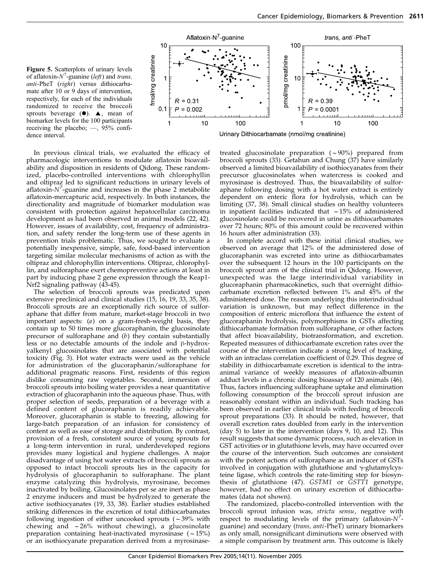



In previous clinical trials, we evaluated the efficacy of pharmacologic interventions to modulate aflatoxin bioavailability and disposition in residents of Qidong. These randomized, placebo-controlled interventions with chlorophyllin and oltipraz led to significant reductions in urinary levels of aflatoxin- $N^7$ -guanine and increases in the phase 2 metabolite aflatoxin-mercapturic acid, respectively. In both instances, the directionality and magnitude of biomarker modulation was consistent with protection against hepatocellular carcinoma development as had been observed in animal models (22, 42). However, issues of availability, cost, frequency of administration, and safety render the long-term use of these agents in prevention trials problematic. Thus, we sought to evaluate a potentially inexpensive, simple, safe, food-based intervention targeting similar molecular mechanisms of action as with the oltipraz and chlorophyllin interventions. Oltipraz, chlorophyllin, and sulforaphane exert chemopreventive actions at least in part by inducing phase 2 gene expression through the Keap1- Nrf2 signaling pathway (43-45).

The selection of broccoli sprouts was predicated upon extensive preclinical and clinical studies (15, 16, 19, 33, 35, 38). Broccoli sprouts are an exceptionally rich source of sulforaphane that differ from mature, market-stage broccoli in two important aspects: (a) on a gram-fresh-weight basis, they contain up to 50 times more glucoraphanin, the glucosinolate precursor of sulforaphane and (b) they contain substantially less or no detectable amounts of the indole and  $\beta$ -hydroxyalkenyl glucosinolates that are associated with potential toxicity (Fig. 3). Hot water extracts were used as the vehicle for administration of the glucoraphanin/sulforaphane for additional pragmatic reasons. First, residents of this region dislike consuming raw vegetables. Second, immersion of broccoli sprouts into boiling water provides a near quantitative extraction of glucoraphanin into the aqueous phase. Thus, with proper selection of seeds, preparation of a beverage with a defined content of glucoraphanin is readily achievable. Moreover, glucoraphanin is stable to freezing, allowing for large-batch preparation of an infusion for consistency of content as well as ease of storage and distribution. By contrast, provision of a fresh, consistent source of young sprouts for a long-term intervention in rural, underdeveloped regions provides many logistical and hygiene challenges. A major disadvantage of using hot water extracts of broccoli sprouts as opposed to intact broccoli sprouts lies in the capacity for hydrolysis of glucoraphanin to sulforaphane. The plant enzyme catalyzing this hydrolysis, myrosinase, becomes inactivated by boiling. Glucosinolates per se are inert as phase 2 enzyme inducers and must be hydrolyzed to generate the active isothiocyanates (19, 33, 38). Earlier studies established striking differences in the excretion of total dithiocarbamates following ingestion of either uncooked sprouts  $(-39\% \text{ with}$ chewing and  $\sim$  26% without chewing), a glucosinolate preparation containing heat-inactivated myrosinase  $(-15%)$ or an isothiocyanate preparation derived from a myrosinasetreated glucosinolate preparation  $(-90%)$  prepared from broccoli sprouts (33). Getahun and Chung (37) have similarly observed a limited bioavailability of isothiocyanates from their precursor glucosinolates when watercress is cooked and myrosinase is destroyed. Thus, the bioavailability of sulforaphane following dosing with a hot water extract is entirely dependent on enteric flora for hydrolysis, which can be limiting (37, 38). Small clinical studies on healthy volunteers in inpatient facilities indicated that  $\sim$  15% of administered glucosinolate could be recovered in urine as dithiocarbamates over 72 hours; 80% of this amount could be recovered within 16 hours after administration (33).

In complete accord with these initial clinical studies, we observed on average that 12% of the administered dose of glucoraphanin was excreted into urine as dithiocarbamates over the subsequent 12 hours in the 100 participants on the broccoli sprout arm of the clinical trial in Qidong. However, unexpected was the large interindividual variability in glucoraphanin pharmacokinetics, such that overnight dithiocarbamate excretion reflected between 1% and 45% of the administered dose. The reason underlying this interindividual variation is unknown, but may reflect difference in the composition of enteric microflora that influence the extent of glucoraphanin hydrolysis, polymorphisms in GSTs affecting dithiocarbamate formation from sulforaphane, or other factors that affect bioavailability, biotransformation, and excretion. Repeated measures of dithiocarbamate excretion rates over the course of the intervention indicate a strong level of tracking, with an intraclass correlation coefficient of 0.29. This degree of stability in dithiocarbamate excretion is identical to the intraanimal variance of weekly measures of aflatoxin-albumin adduct levels in a chronic dosing bioassay of 120 animals (46). Thus, factors influencing sulforaphane uptake and elimination following consumption of the broccoli sprout infusion are reasonably constant within an individual. Such tracking has been observed in earlier clinical trials with feeding of broccoli sprout preparations (33). It should be noted, however, that overall excretion rates doubled from early in the intervention (day 5) to later in the intervention (days 9, 10, and 12). This result suggests that some dynamic process, such as elevation in GST activities or in glutathione levels, may have occurred over the course of the intervention. Such outcomes are consistent with the potent actions of sulforaphane as an inducer of GSTs involved in conjugation with glutathione and  $\gamma$ -glutamylcysteine ligase, which controls the rate-limiting step for biosynthesis of glutathione (47). GSTM1 or GSTT1 genotype, however, had no effect on urinary excretion of dithiocarbamates (data not shown).

The randomized, placebo-controlled intervention with the broccoli sprout infusion was, strictu sensu, negative with respect to modulating levels of the primary (aflatoxin- $N^7$ guanine) and secondary (trans, anti-PheT) urinary biomarkers as only small, nonsignificant diminutions were observed with a simple comparison by treatment arm. This outcome is likely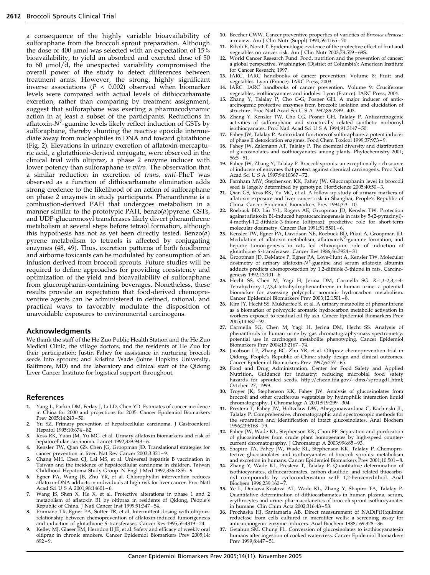a consequence of the highly variable bioavailability of sulforaphane from the broccoli sprout preparation. Although the dose of 400  $\mu$ mol was selected with an expectation of 15% bioavailability, to yield an absorbed and excreted dose of 50 to 60  $\mu$ mol/d, the unexpected variability compromised the overall power of the study to detect differences between treatment arms. However, the strong, highly significant inverse associations ( $P < 0.002$ ) observed when biomarker levels were compared with actual levels of dithiocarbamate excretion, rather than comparing by treatment assignment, suggest that sulforaphane was exerting a pharmacodynamic action in at least a subset of the participants. Reductions in aflatoxin- $N^7$ -guanine levels likely reflect induction of GSTs by sulforaphane, thereby shunting the reactive epoxide intermediate away from nucleophiles in DNA and toward glutathione (Fig. 2). Elevations in urinary excretion of aflatoxin-mercapturic acid, a glutathione-derived conjugate, were observed in the clinical trial with oltipraz, a phase 2 enzyme inducer with lower potency than sulforaphane in vitro. The observation that a similar reduction in excretion of trans, anti-PheT was observed as a function of dithiocarbamate elimination adds strong credence to the likelihood of an action of sulforaphane on phase 2 enzymes in study participants. Phenanthrene is a combustion-derived PAH that undergoes metabolism in a manner similar to the prototypic PAH, benzo(a)pyrene. GSTs, and UDP-glucuronosyl transferases likely divert phenanthrene metabolism at several steps before tetraol formation, although this hypothesis has not as yet been directly tested. Benzo $(a)$ pyrene metabolism to tetraols is affected by conjugating enzymes (48, 49). Thus, excretion patterns of both foodborne and airborne toxicants can be modulated by consumption of an infusion derived from broccoli sprouts. Future studies will be required to define approaches for providing consistency and optimization of the yield and bioavailability of sulforaphane from glucoraphanin-containing beverages. Nonetheless, these results provide an expectation that food-derived chemopreventive agents can be administered in defined, rational, and practical ways to favorably modulate the disposition of unavoidable exposures to environmental carcinogens.

## Acknowledgments

We thank the staff of the He Zuo Public Health Station and the He Zuo Medical Clinic, the village doctors, and the residents of He Zuo for their participation; Justin Fahey for assistance in nurturing broccoli seeds into sprouts; and Kristina Wade (Johns Hopkins University, Baltimore, MD) and the laboratory and clinical staff of the Qidong Liver Cancer Institute for logistical support throughout.

#### References

- 1. Yang L, Parkin DM, Ferlay J, Li LD, Chen YD. Estimates of cancer incidence in China for 2000 and projections for 2005. Cancer Epidemiol Biomarkers Prev 2005;14:243 – 50.
- 2. Yu SZ. Primary prevention of hepatocellular carcinoma. J Gastroenterol Hepatol 1995;10:674-82.
- 3. Ross RK, Yuan JM, Yu MC, et al. Urinary aflatoxin biomarkers and risk of hepatocellular carcinoma. Lancet 1992;339:943 – 6.
- Kensler TW, Qian GS, Chen JG, Groopman JD. Translational strategies for cancer prevention in liver. Nat Rev Cancer 2003;3:321 – 9.
- 5. Chang MH, Chen CJ, Lai MS, et al. Universal hepatitis B vaccination in Taiwan and the incidence of hepatocellular carcinoma in children. Taiwan Childhood Hepatoma Study Group. N Engl J Med 1997;336:1855 – 9.
- Egner PA, Wang JB, Zhu YR, et al. Chlorophyllin intervention reduces aflatoxin-DNA adducts in individuals at high risk for liver cancer. Proc Natl Acad Sci U S A 2001;98:14601-6.
- Wang JS, Shen X, He X, et al. Protective alterations in phase 1 and 2 metabolism of aflatoxin B1 by oltipraz in residents of Qidong, People's Republic of China. J Natl Cancer Inst 1999;91:347 – 54.
- 8. Primiano TR, Egner PA, Sutter TR, et al. Intermittent dosing with oltipraz: relationship between chemoprevention of aflatoxin-induced tumorigenesis and induction of glutathione S-transferases. Cancer Res 1995;55:4319 – 24.
- 9. Kelley MJ, Glaser EM, Herndon II JE, et al. Safety and efficacy of weekly oral oltipraz in chronic smokers. Cancer Epidemiol Biomarkers Prev 2005;14:  $892 - 9.$
- 10. Beecher CWW. Cancer preventive properties of varieties of Brassica oleracea: a review. Am J Clin Nutr (Suppl) 1994;59:1165 – 70.
- 11. Riboli E, Norat T. Epidemiologic evidence of the protective effect of fruit and vegetables on cancer risk. Am J Clin Nutr 2003;78:559 69S.
- 12. World Cancer Research Fund. Food, nutrition and the prevention of cancer: a global perspective. Washington (District of Columbia): American Institute for Cancer Reseach; 1997.
- 13. IARC. IARC handbooks of cancer prevention. Volume 8: Fruit and vegetables. Lyon (France): IARC Press; 2003.
- 14. IARC. IARC handbooks of cancer prevention. Volume 9: Cruciferous vegetables, isothiocyanates and indoles. Lyon (France): IARC Press; 2004.
- 15. Zhang Y, Talalay P, Cho C-G, Posner GH. A major inducer of anticarcinogenic protective enzymes from broccoli: isolation and elucidation of structure. Proc Natl Acad Sci U S A 1992;89:2399 – 403.
- 16. Zhang Y, Kensler TW, Cho CG, Posner GH, Talalay P. Anticarcinogenic activities of sulforaphane and structurally related synthetic norbornyl isothiocyanates. Proc Natl Acad Sci U S A 1994;91:3147 – 50.
- 17. Fahey JW, Talalay P. Antioxidant functions of sulforaphane: a potent inducer of phase II detoxication enzymes. Food Chem Toxicol 1999;37:973 – 9.
- 18. Fahey JW, Zalcmann AT, Talalay P. The chemical diversity and distribution of glucosinolates and isothiocyanates among plants. Phytochemistry 2001;  $56:5 - 51$ .
- 19. Fahey JW, Zhang Y, Talalay P. Broccoli sprouts: an exceptionally rich source of inducers of enzymes that protect against chemical carcinogens. Proc Natl Acad Sci U S A 1997;94:10367 – 72.
- 20. Farnham MW, Stephenson KK, Fahey JW. Glucoraphanin level in broccoli
- seed is largely determined by genotype. HortScience 2005;40:50 3. 21. Qian GS, Ross RK, Yu MC, et al. A follow-up study of urinary markers of aflatoxin exposure and liver cancer risk in Shanghai, People's Republic of China. Cancer Epidemiol Biomarkers Prev 1994;3:3 – 10.
- 22. Roebuck BD, Liu Y-L, Rogers AE, Groopman JD, Kensler TW. Protection against aflatoxin B1-induced hepatocarcinogenesis in rats by 5-(2-pyrazinyl)- 4-methyl-1,2-dithiole-3-thione (oltipraz): predictive role for short-term molecular dosimetry. Cancer Res 1991;51:5501 – 6.
- 23. Kensler TW, Egner PA, Davidson NE, Roebuck BD, Pikul A, Groopman JD. Modulation of aflatoxin metabolism, aflatoxin- $N^7$ -guanine formation, and hepatic tumorigenesis in rats fed ethoxyquin: role of induction of glutathione S-transferases. Cancer Res 1986;46:3924 – 31.
- 24. Groopman JD, DeMatos P, Egner PA, Love-Hunt A, Kensler TW. Molecular dosimetry of urinary aflatoxin- $N^7$ -guanine and serum aflatoxin albumin adducts predicts chemoprotection by 1,2-dithiole-3-thione in rats. Carcinogenesis 1992;13:101 – 6.
- 25. Hecht SS, Chen M, Yagi H, Jerina DM, Carmella SG. R-1,t-2,3,c -4- Tetrahydroxy-1,2,3,4-tetrahydrophenanthrene in human urine: a potential biomarker for assessing polycyclic aromatic hydrocarbon metabolism. Cancer Epidemiol Biomarkers Prev 2003;12:1501 – 8.
- 26. Kim JY, Hecht SS, Mukherfee S, et al. A urinary metabolite of phenanthrene as a biomarker of polycyclic aromatic hydrocarbon metabolic activation in workers exposed to residual oil fly ash. Cancer Epidemiol Biomarkers Prev 2005;14:687 – 92.
- 27. Carmella SG, Chen M, Yagi H, Jerina DM, Hecht SS. Analysis of phenanthrols in human urine by gas chromatography-mass spectrometry: potential use in carcinogen metabolite phenotyping. Cancer Epidemiol
- Biomarkers Prev 2004;13:2167 74. 28. Jacobson LP, Zhang BC, Zhu YR, et al. Oltipraz chemoprevention trial in Qidong, People's Republic of China: study design and clinical outcomes. Cancer Epidemiol Biomarkers Prev 1997;6:257 – 65.
- 29. Food and Drug Administration. Center for Food Safety and Applied Nutrition, Guidance for industry: reducing microbial food safety hazards for sprouted seeds. http://cfscan.fda.gov/~dms/sprougd1.html;
- October 27, 1999. 30. Troyer JK, Stephenson KK, Fahey JW. Analysis of glucosinolates from broccoli and other cruciferous vegetables by hydrophilic interaction liquid
- chromatography. J Chromatogr A 2001;919:299 304. 31. Prestera T, Fahey JW, Holtzclaw DW, Abeygunawardana C, Kachinski JL, Talalay P. Comprehensive, chromatographic and spectroscopic methods for the separation and identification of intact glucosinolates. Anal Biochem 1996;239:168 – 79.
- 32. Fahey JW, Wade KL, Stephenson KK, Chou FF. Separation and purification of glucosinolates from crude plant homogenates by high-speed countercurrent chromatography. J Chromatogr A 2003;996:85 – 93. 33. Shapiro TA, Fahey JW, Wade KL, Stephenson KK, Talalay P. Chemopro-
- tective glucosinolates and isothocyanates of broccoli sprouts: metabolism
- and excretion in humans. Cancer Epidemiol Biomarkers Prev 2001;10:501 8. 34. Zhang Y, Wade KL, Prestera T, Talalay P. Quantitative determination of isothiocyanates, dithiocarbamates, carbon disulfide, and related thiocarbonyl compounds by cyclocondensation with 1,2-benzenedithiol. Anal Biochem 1996;239:160-7.
- 35. Ye L, Dinkova-Kostova AT, Wade KL, Zhang Y, Shapiro TA, Talalay P. Quantitative determination of dithiocarbamates in human plasma, serum, erythrocytes and urine: pharmacokinetics of broccoli sprout isothiocyanates in humans. Clin Chim Acta 2002;316:43 – 53.
- 36. Prochaska HJ, Santamaria AB. Direct measurement of NAD(P)H:quinine reductase from cells cultured in microtiter wells: a screening assay for anticarcinogenic enzyme inducers. Anal Biochem 1988;169:328 – 36.
- 37. Getahun SM, Chung FL. Conversion of glucosinolates to isothiocyanatesin humans after ingestion of cooked watercress. Cancer Epidemiol Biomarkers Prev 1999;8:447 – 51.